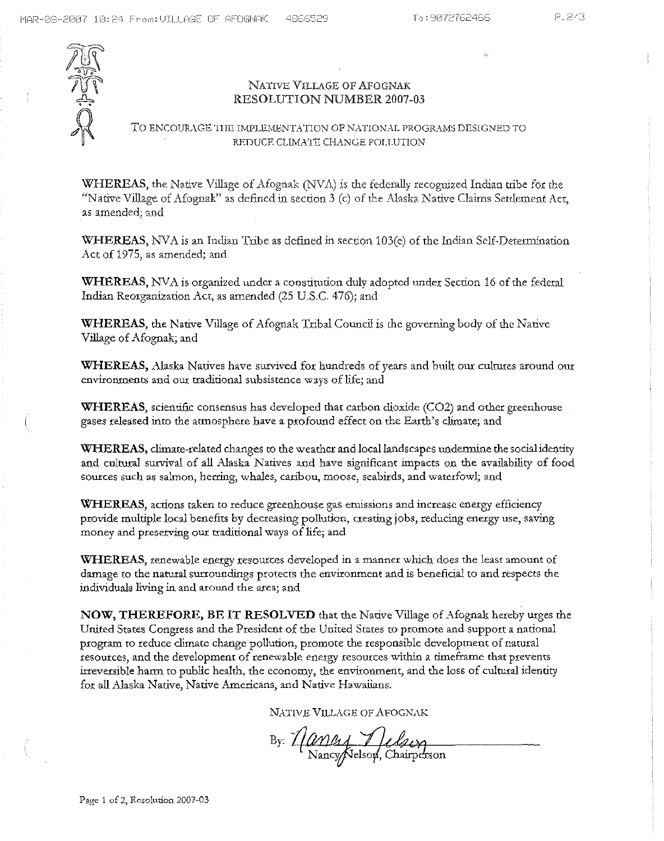

# NATIVE VILLAGE OF AFOGNAK RESOLUTION NUMBER 2007-03

# TO ENCOURAGE THE IMPLEMENTATION OF NATIONAL PROGRAMS DESIGNED TO REDUCE CLIMA'IE CHANGE POLLUTION

WHEREAS, the Native Village of Afognak (NV $\Lambda$ ) is the federally recognized Indian tribe for the "Native Village of Afognak" as defined in section 3 (c) of the Alaska Native Claims Settlement Act, as amended; and

WBEREAS, NVA is an Indian Tribe as defined in section 103(e) of the Indian Self-Determination Act of 1975, as amended; and

WHEREAS, NVA is organized under a constitution duly adopted under Section 16 of the federal Indian Reorganization Act, as amended (25 U.S.c. 476); and

WHEREAS, the Native Village of Afognak Tribal Council is the governing body of the Native Village of Afognak; and

**WHEREAS,** Alaska Natives have survived for hundreds of years and built our cultures around our environments and our traditional subsistence ways of life; and

WHEREAS, scientific consensus has developed that carbon dioxide (C02) and other greenhouse gases released into the atmosphere have a profound effect on the Earth's climate; and

**WHEREAS,** climate-related changes to the weather and local landscapes undermine the socialidentity and cultural survival of all Alaska Natives and have significant impacts on the availability of food **sources such as salmon, herring, whales,** caribou, moose, **seabirds) and** waterfowl; and

**WHEREAS,** actions taken to reduce greenhouse gas emissions and increase energy efficiency provide multiple local benefits by decreasing pollution, creating jobs, reducing energy use, saving money and preserving our traditional ways of life; and

**WHEREAS,** renewable energy resources developed in a manner which does the least amount of damage to the natural surroundings protects the environment and is beneficial to and respects the individuals living in and around the area; and

**NOW, THEREFORE, BE IT RESOLVED** that the Native Village of Afognak hereby urges the United States Congress and the President of the United States to promote and support a national program to reduce climate change pollution, promote the responsible development of natural resources, and the development of renewable energy resources within a timeframe that prevents irreversible harm to public health, the economy, the environment, and the loss of cultural identity for all Alaska Native, Native Americans, and Native Hawaiians.

NATIVE VILLAGE OF AFOGNAK

By: *Nancy Julsey*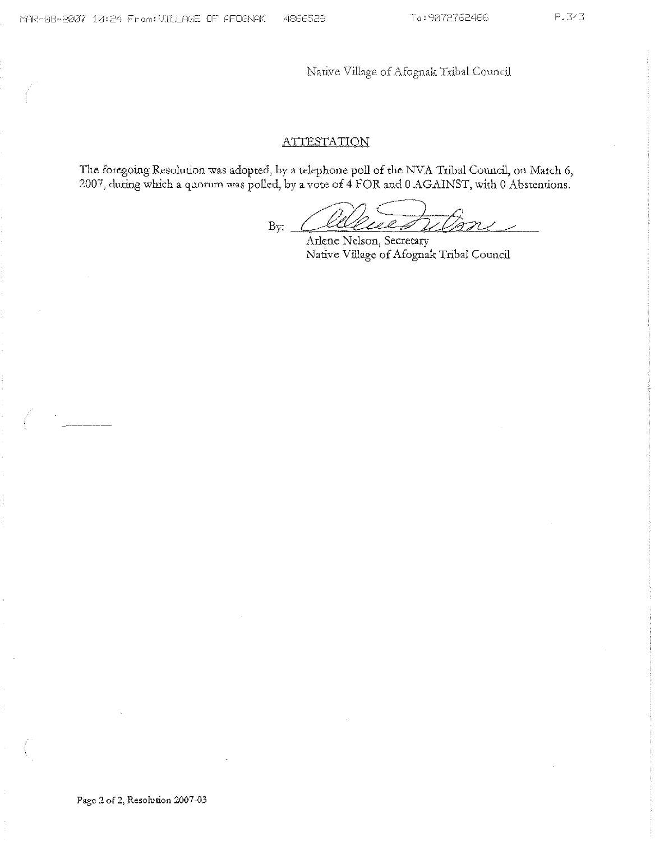Native Village of Afognak Tribal Council

# ATTESTATION

The foregoing Resolution was adopted, by a telephone poll of rhe NVA Tribal Council, on March 6, 2007, during which a quorum was polled, by a vote of 4 FOR and 0 AGAINST, with 0 Abstentions.

By: Celeved Wore

Arlene Nelson, Secretary Native Village of Afognak Tribal Council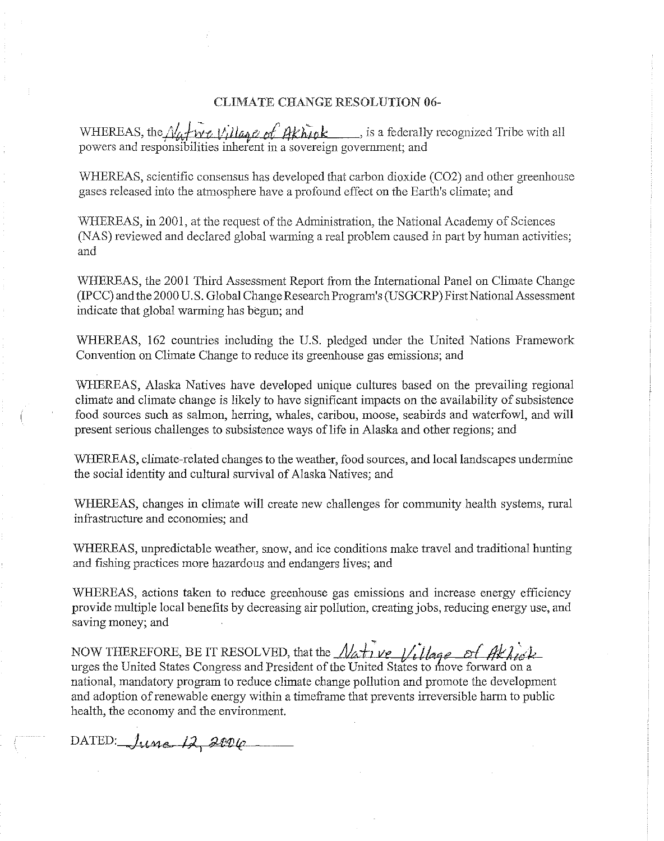## CLIMATE CHANGE RESOLUTION 06-

WHEREAS, the *Natwe Village of Akhink* , is a federally recognized Tribe with all powers and responsibilities inherent in a sovereign government; and

WHEREAS, scientific consensus has developed that carbon dioxide (C02) and other greenhouse gases released into the atmosphere have a profound effect on the Earth's climate; and

WHEREAS, in 2001, at the request of the Administration, the National Academy of Sciences (NAS) reviewed and declared global warming a real problem caused in part by human activities; and

WHEREAS, the 2001 Third Assessment Report from the Intemational Panel on Climate Change (IPCe) and the 2000 U.S. Global Change Research Program's (USGCRP) First National Assessment indicate that global warming has begun; and

WHEREAS, 162 countries including the U.S. pledged under the United Nations Framework Convention on Climate Change to reduce its greenhouse gas emissions; and

WHEREAS, Alaska Natives have developed unique cultures based on the prevailing regional climate and climate change is likely to have significant impacts on the availability of subsistence food sources snch as salmon, herring, whales, caribou, moose, seabirds and waterfowl, and will present serious challenges to subsistence ways of life in Alaska and other regions; and

WHEREAS, climate-related changes to the weather, food sources, and local landscapes undermine the social identity and cultural survival of Alaska Natives; and

WHEREAS, changes in climate will create new challenges for community health systems, rural infrastructure and economies; and

WHEREAS, unpredictable weather, snow, and ice conditions make travel and traditional hunting and fishing practices more hazardous and endangers lives; and

WHEREAS, actions taken to reduce greenhouse gas emissions and increase energy efficiency provide multiple local benefits by decreasing air pollution, creatingjobs, reducing energy use, and saving money; and

NOW THEREFORE, BE IT RESOLVED, that the  $\mathcal{N}$ ative Village of Akhick urges the United States Congress and President of the United States to move forward on a national, mandatory program to reduce climate change pollution and promote the development and adoption ofrenewable energy within a timeframe that prevents irreversible harm to public health, the economy and the environment.

DATED: June 12, 2006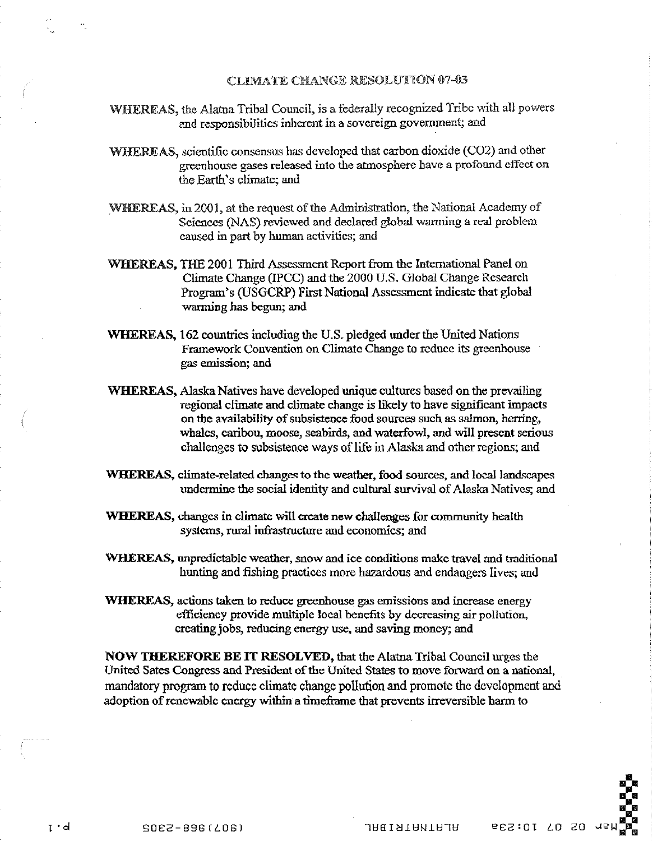#### CLIMATE CHANGE RESOLUTION 07-03

- WHEREAS, the Alatna Tribal Council, is a federally recognized Tribe with all powers and responsibilities inherent in a sovereign government; and
- WHEREAS, scientific consensus has developed that carbon dioxide (C02) and other greenhouse gases released into the atmosphere have a profound effect on the Earth's climate; and
- WHEREAS, in 2001, at the request of the Administration, the National Academy of Sciences (NAS) reviewed and declared global warming a real problem caused in part by human activities; and
- WHEREAS, THE 200I Third Assessment Report from the International Panel on Climate Change (IPCC) and the 2000 U.S. Global Change Research Program's (USGCRP) First National Assessment indicate that global warming has begun; and
- WHEREAS, 162 countries including the U.S. pledged under the United Nations Framework Convention on Climate Change to reduce its greenhouse gas emission; and
- WHEREAS, Alaska Natives have developed unique cultures based on the prevailing regional climate and climate change is likely to have significant impacts on the availability of subsistence food sources such as salmon, herring, whales, caribou, moose, seabirds, and waterfowl, and will present serious challenges to subsistence ways of life in Alaska and other regions; and
- WHEREAS, climate-related changes to the weather, food sources, and local landscapes undermine the social identity and cultural survival of Alaska Natives; and
- WHEREAS, changes in climate will create new challenges for community health systems, rural infrastructure and economics; and
- WllEREAS, unpredictable weather, snow and ice conditions make travel and traditional hunting and fishing practices more hazardous and endangers lives; and
- WHEREAS, actions taken to reduce greenhouse gas emissions and increase energy efficiency provide multiple local benefits by decreasing air pollution, ercating jobs, reducing energy use, and saving money; and

NOW THEREFORE BE **IT** RESOLVED, that the Alatna Tribal Council urges the United Sates Congress and President of the United States to move forward on a national, mandatory program to reduce climate change pollution and promote the development and adoption ofrenewable energy within a timeframe that prevents irreversible harm to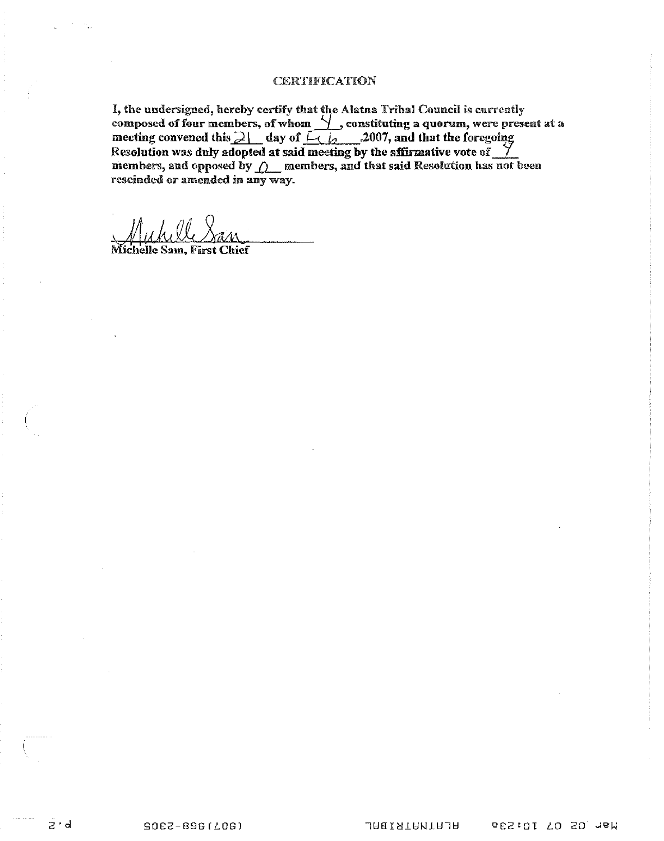#### CERTIFICATION

I, the undersigned, hereby certify that the Alatna Tribal Council is currently composed of four members, of whom  $\frac{1}{2}$ , constituting a quorum, were present at a composed of four members, of whom <u>\frace</u>, constituting a quorum, were proven and that the foregoing meeting convened this 2\frace day of  $\frac{1}{1-\epsilon}$  .<sup>2007</sup>, and that the foregoing Resolution was duly adopted at said meeting by the affirmative vote of <u>Y</u> members, and opposed by  $\bigwedge$  members, and that said Resolution has not been rescinded or amended in any way.

Micl helle Sam, First Chief

izirid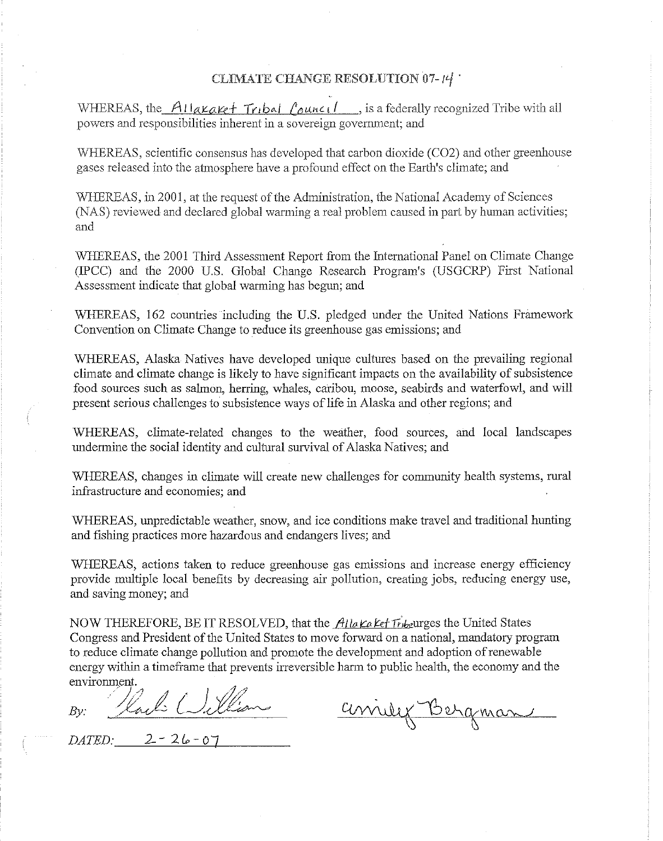# CLIMATE CHANGE RESOLUTION 07-14

WHEREAS, the AIIakaket Tribal Council , is a federally recognized Tribe with all powers and responsibilities inherent in a sovereign government; and

WHEREAS, scientific consensus has developed that carbon dioxide (C02) and otber greenhouse gases released into the atmosphere have a profound effect on the Earth's climate; and

WHEREAS, in 2001, at the request of the Administration, the National Academy of Sciences (NAS) reviewed and declared global warming a real problem caused in part by human activities; and

WHEREAS, the 2001 Third Assessment Report from the International Panel on Climate Change (TPCC) and the 2000 U.S. Global Change Research Program's (USGCRP) First National Assessment indicate that global warming has begun; and

WHEREAS, 162 countries including the U.S. pledged under the United Nations Framework Convention on Climate Change to reduce its greenhouse gas emissions; and

WHEREAS, Alaska Natives have developed unique cultures based on the prevailing regional climate and climate change is likely to have significant impacts on the availability of subsistence food sources such as salmon, herring, whales, caribou, moose, seabirds and waterfowl, and will present serious challenges to subsistence ways of life in Alaska and other regions; and

WHEREAS, climate-related changes to the weather, food sources, and local landscapes undermine the social identity and cultural survival of Alaska Natives; and

WHEREAS, changes in climate will create new challenges for community health systems, rural infrastructure and economies; and

WHEREAS, unpredictable weather, snow, and ice conditions make travel and traditional hunting and fishing practices more hazardous and endangers lives; and

WHEREAS, actions taken to reduce greenhouse gas emissions and increase energy efficiency provide multiple local benefits by decreasing air pollution, creating jobs, reducing energy use, and saving money; and

NOW THEREFORE, BE IT RESOLVED, that the *Alla Kalet Tribe*urges the United States Congress and President of the United States to move forward on a national, mandatory program to reduce climate change pollution and promote the development and adoption ofrenewable energy within a timeframe that prevents irreversible harm to public health, the economy and the environment.

*By:* which Cullian

anily Bergman

 $DATED:_{-26-01}$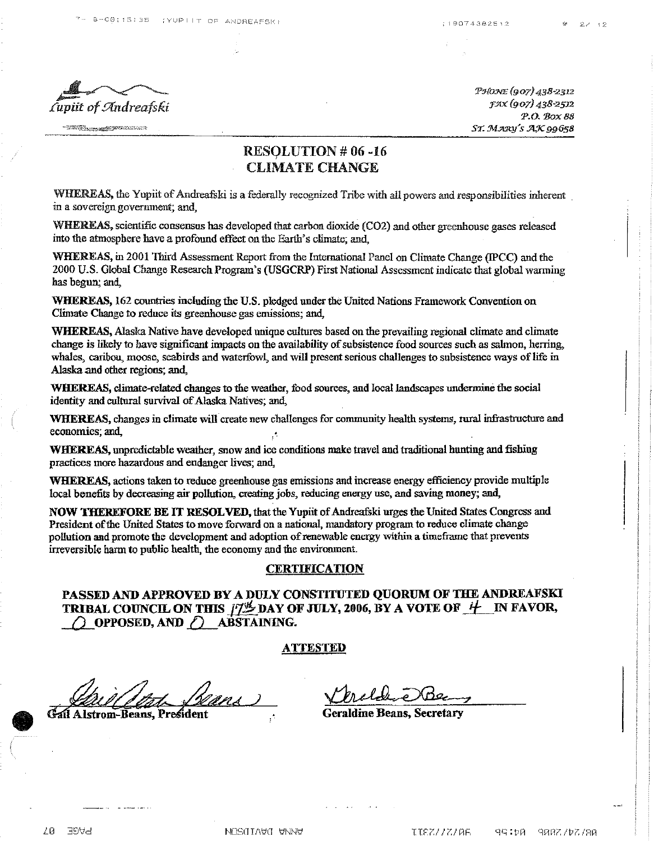**START THE CONSTRUCTION OF THE CONSTRUCTION** 

'P!J{O:NE (907) 438-2312 :F2lX(907) 438-2512 P.O. Box 88 ST. MARY'S AX 99658

# RESOLUTION # 06 -16 CLIMATE CHANGE

WHEREAS, the Yupiit of Andreafski is a federally recognized Tribe with all powers and responsibilities inherent. in a sovereign government; and,

WHEREAS, scientific consensus has developed that carbon dioxide (CO2) and other greenhouse gases released into the atmosphere have a profound effect on the Earth's climate; and,

WHEREAS, in 2001 Third Assessment Report from the International Panel on Climate Change (!pCC) and the 2000 U.S. Global Change Research Program's (USGCRP) First National Assessment indicate that global warming bas begun; and,

WHEREAS, 162 countries including the U.S. pledged under the United Nations Framework Convention on Climate Change to reduce its greenhouse gas emissions; and,

WHEREAS, Alaska Native have developed unique cultures based on the prevailing regional climate and climate change is likely to have significant impacts on the availability of subsistence food sources such as salmon, herring, whales, caribou, moose, seabirds and waterfowl, and will present serious challenges to subsistence ways of life in Alaska and other regions; and,

WHEREAS, climate-related changes to the weather, food sources, and local landscapes undermine the social identity and cultural survival of Alaska Natives; and,

WHEREAS, changes in climate will create new challenges for community health systems, rural infrastructure and economies; and,

WHEREAS, unpredictable weather, snow and ice conditions make travel and traditional hunting and fishing practices more hazardous and endanger lives; and,

WHEREAS, actions taken to reduce greenhouse gas emissions and increase energy efficiency provide multiple local benefits by decreasing air pollution, creating jobs, reducing energy use, and saving money; and,

NOW THEREFORE BE IT RESOLVED, that the Yupiit of Andreafski urges the United States Congress and President ofthe United States to move forward on a national, mandatory program to reduce climate change pollution and promote the development and adoption of renewable energy within a timeframe that prevents irreversible harmto public health, the economy and the environment.

#### **CERTIFICATION**

PASSED AND APPROVED BY A DULY CONSTITUTED QUORUM OF THE ANDREAFSKI TRIBAL COUNCIL ON THIS  $\frac{\partial f}{\partial x}$  DAY OF JULY, 2006, BY A VOTE OF  $H$  IN FAVOR,  $\bigcap$  OPPOSED, AND  $\bigcap$  ABSTAINING.

### ATTESTED

Gail Alstrom-Beans, President

Geraldine Beans, Secretary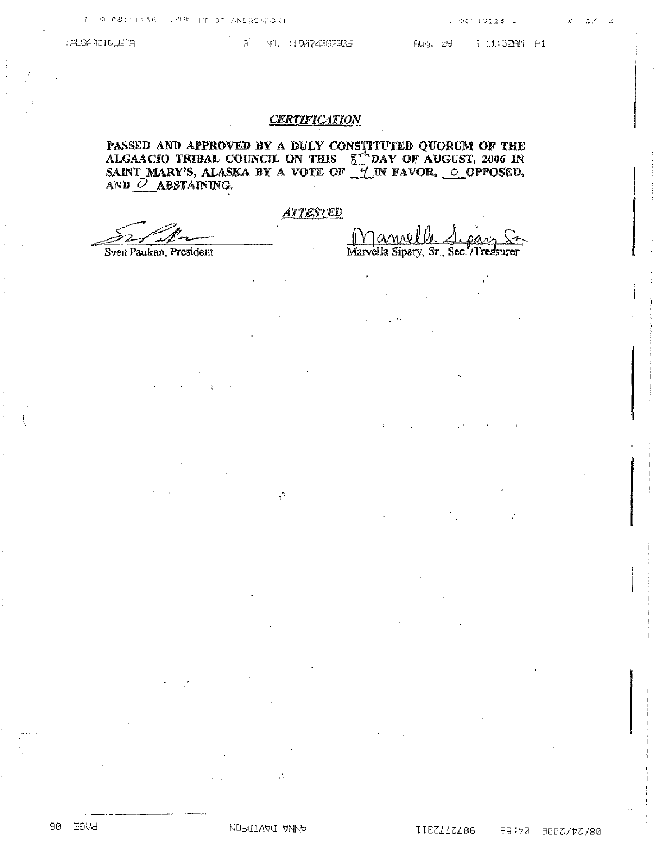ALGAACIULEPA

#### F YD. 19074382935

**CERTIFICATION** 

PASSED AND APPROVED BY A DULY CONSTITUTED QUORUM OF THE ALGAACIO TRIBAL COUNCIL ON THIS  $S^{\prime\prime}$ DAY OF AUGUST, 2006 IN SAINT MARY'S, ALASKA BY A VOTE OF  $\pm$  IN FAVOR,  $\pm$  OPPOSED, AND O ABSTAINING.

# **ATTESTED**

Sven Paukan, President

 $\mathcal{L}$ 

 $\mathcal{C}^{\mathcal{C}}$ 

 $\mathcal{C}$ 

88 BPAS

**NOSQIANO ANNA** 

Aug. 09 7 11:32AM P1

Jame Marvella Sipary, Sr., Sec. /Treasurer

 $\bar{z}$ 

IIEZZZZZB6 99: b0 9007/b7/80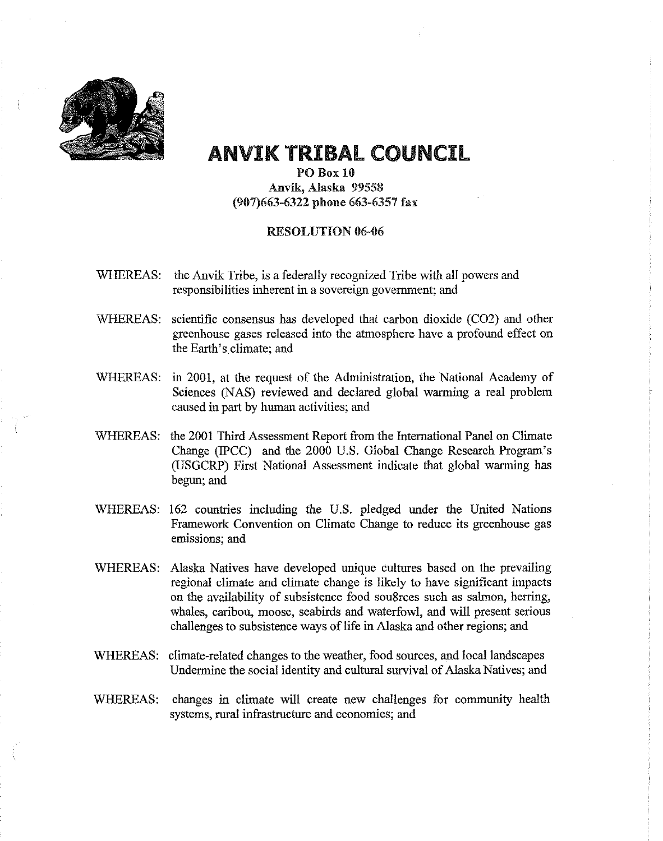

# ANVIK TRIBAL COUNCIL

PO Box 10 Anvik, Alaska 99558 (907)663-6322 phone 663-6357 fax

# RESOLUTION 06-06

- WHEREAS: the Anvik Tribe, is a federally recognized Tribe with all powers and responsibilities inherent in a sovereign government; and
- WHEREAS: scientific consensus has developed that carbon dioxide (C02) and other greenhouse gases released into the atmosphere have a profound effect on the Earth's climate; and
- WHEREAS: in 2001, at the request of the Administration, the National Academy of Sciences (NAS) reviewed and declared global warming a real problem caused in part by human activities; and
- WHEREAS: the 2001 Third Assessment Report from the International Panel on Climate Change (IPCC) and the 2000 U.S. Global Change Research Program's (USGCRP) First National Assessment indicate that global warming has begun; and
- WHEREAS: 162 countries including the U.S. pledged under the United Nations Framework Convention on Climate Change to reduce its greenhouse gas emissions; and
- WHEREAS: Alaska Natives have developed unique cultures based on the prevailing regional climate and climate change is likely to have significant impacts on the availability of subsistence food sou8rces such as salmon, herring, whales, caribou, moose, seabirds and waterfowl, and will present serious challenges to subsistence ways of life in Alaska and other regions; and
- WHEREAS: climate-related changes to the weather, food sources, and local landscapes Undermine the social identity and cultural survival of Alaska Natives; and
- WHEREAS: changes in climate will create new challenges for community health systems, rural infrastructure and economies; and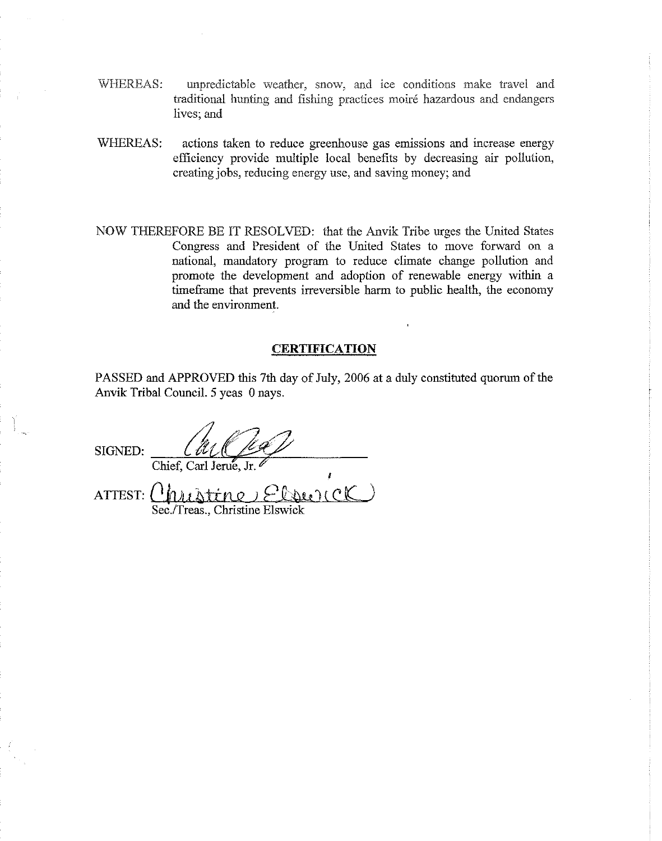- WHEREAS: unpredictable weather, snow, and ice conditions make travel and traditional hunting and fishing practices moire hazardous and endangers lives; and
- WHEREAS: actions taken to reduce greenhouse gas emissions and increase energy efficiency provide multiple local benefits by decreasing air pollution, creating jobs, reducing energy use, and saving money; and
- NOW THEREFORE BE IT RESOLVED: that the Anvik Tribe urges the United States Congress and President of the United States to move forward on a national, mandatory program to reduce climate change pollution and promote the development and adoption of renewable energy within a timeframe that prevents irreversible harm to public health, the economy and the environment.

# **CERTIFICATION**

PASSED and APPROVED this 7th day of July, 2006 at a duly constituted quorum of the Anvik Tribal Council. 5 yeas 0 nays.

I

SIGNED:  $\frac{L \ell \ell}{C}$ Chief, Carl Jerue, Jr.

 $ATTEST:$ Sec./Treas., Christine Elswick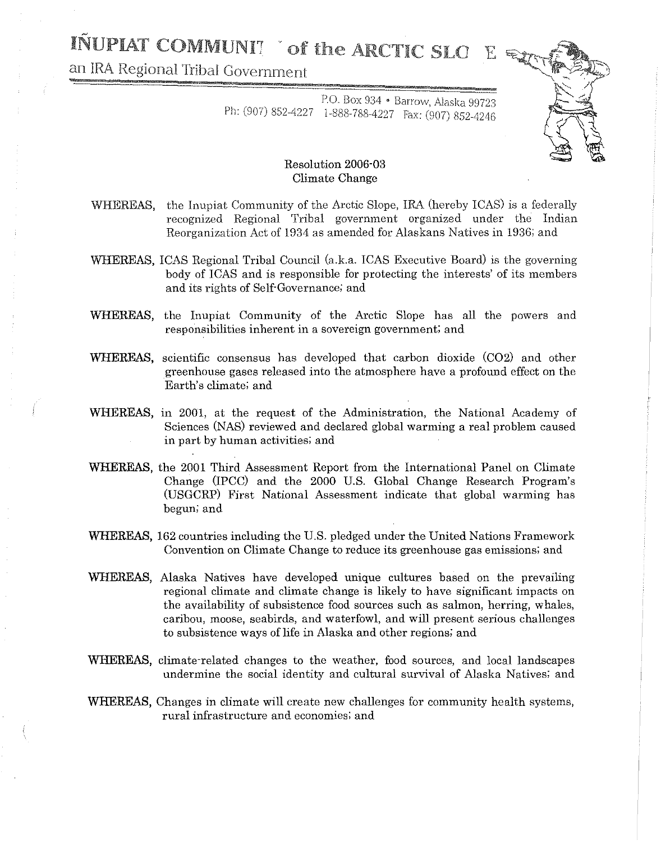# INUPIAT COMMUNIT Tof the ARCTIC SLO

an IRA Regional Tribal Government



# P.O. Box 934 • Barrow, Alaska 99723 Ph: (907) 852-4227 1-888-788-4227 Fax: (907) 852-4246

# Resolution 2006-03 Climate Change

- WHEREAS, the Inupiat Community of the Arctic Slope, IRA (hereby ICAS) is a federally recognized Regional Tribal government organized under the Indian Reorganization Act of 1934 as amended for Alaskans Natives in 1936; and
- WHEREAS, ICAS Regional Tribal Council (a.k.a. ICAS Executive Board) is the governing body of lCAS and is responsible for protecting the interests' of its members and its rights of Self'Governance; and
- WHEREAS, the Inupiat Community of the Arctic Slope has all the powers and responsibilities inherent in a sovereign government; and
- WHEREAS, scientific consensus has developed that carbon dioxide (C02) and other greenhouse gases released into the atmosphere have a profound effect on the Earth's climate; and
- WHEREAS, in 2001, at the request of the Administration, the National Academy of Sciences (NAS) reviewed and declared global warming a real problem caused in part by human activities; and
- WHEREAS, the 2001 Third Assessment Report from the International Panel on Climate Change (IPCC) and the 2000 U.S. Global Change Research Program's (USGCRP) First National Assessment indicate that global warming has begun; and
- WHEREAS, 162 countries including the U.S. pledged under the United Nations Framework Convention on Climate Change to reduce its greenhouse gas emissions; and
- WHEREAS, Alaska Natives have developed unique cultures based on the prevailing regional climate and climate change is likely to have significant impacts on the availability of subsistence food sources such as salmon, herring, whales, caribou, moose, seabirds, and waterfowl, and will present serious challenges to subsistence ways of life in Alaska and other regions; and
- WHEREAS, climate-related changes to the weather, food sources, and local landscapes undermine the social identity and cultural survival of Alaska Natives; and
- WHEREAS, Changes in climate will create new challenges for community health systems, rural infrastructure and economies; and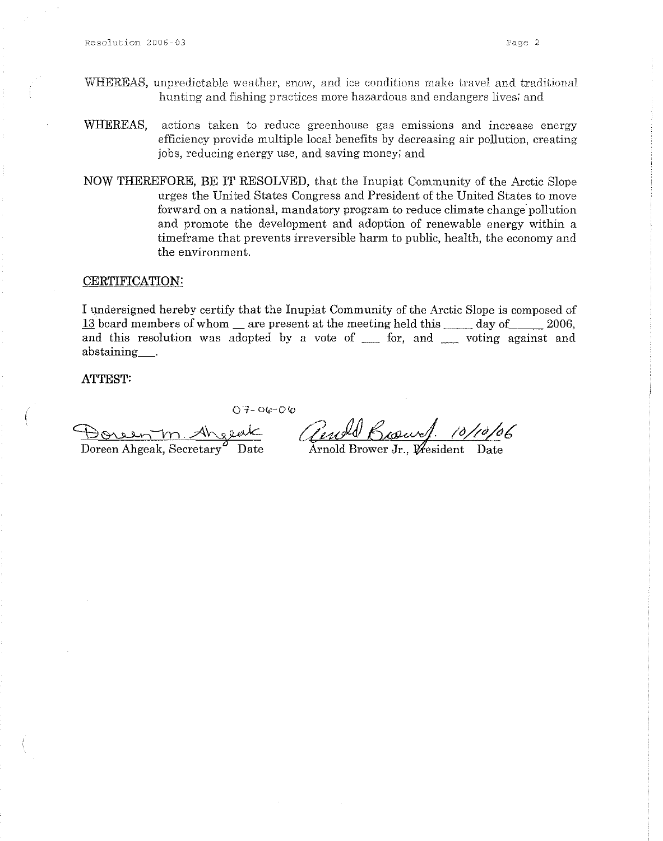- WHEREAS, unpredictable weather, snow, and ice conditions make travel and traditional hunting and fishing practices more hazardous and endangers lives; and
- WHEREAS, actions taken to reduce greenhouse gas emissions and increase energy efficiency provide multiple local benefits by decreasing air pollution, creating jobs, reducing energy use, and saving money; and
- NOW THEREFORE, BE IT RESOLVED, that the Inupiat Community of the Arctic Slope urges the United States Congress and President of the United States to move forward on a national, mandatory program to reduce climate change pollution and promote the development and adoption of renewable energy within a timeframe that prevents irreversible harm to public, health, the economy and the environment.

#### **CERTIFICATION:**

I undersigned hereby certify that the Inupiat Community of the Arctic Slope is composed of  $13$  board members of whom  $\equiv$  are present at the meeting held this  $\equiv$  day of 2006, and this resolution was adopted by a vote of \_ for, and \_ voting against and abstaining\_\_\_\_.

**ATTEST:**

 $07 - 06 - 06$ 

Horeen m. Aherek

Doreen Ahgeak, Secretary <sup>B</sup> Date

Gend

Arnold Brower Jr.,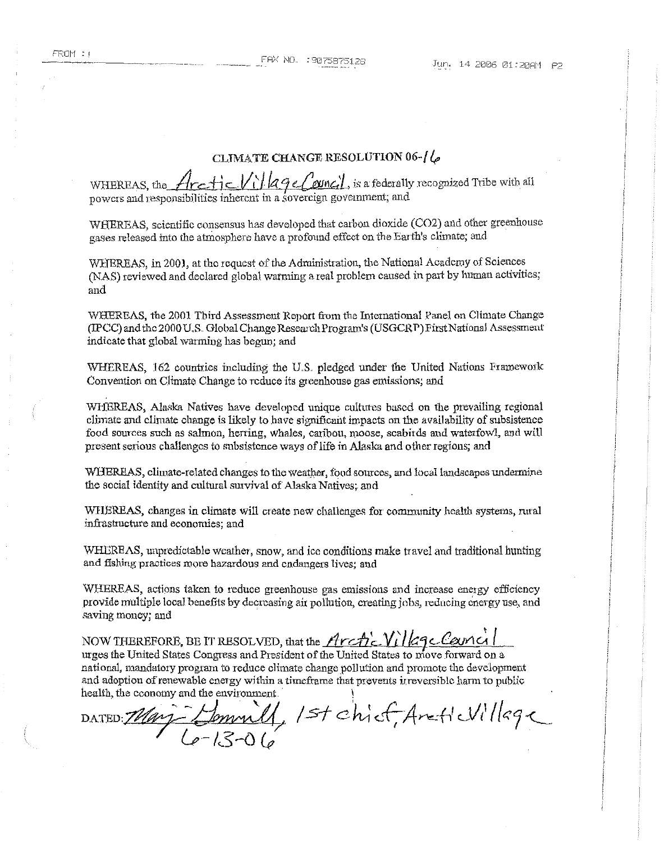## CLIMATE CHANGE RESOLUTION  $06$ - $16$

| WHEREAS, the Arctic Village Council, is a federally recognized Tribe with al' |
|-------------------------------------------------------------------------------|
| powers and responsibilities inherent in a sovereign government; and           |

WHEREAS, scientific consensus has developed that carbon dioxide (C02) and other greenhouse gases released into the atmosphere have a profound effect on the Earth's climate; and

WHEREAS, in 2001, at the request of the Administration, the National Academy of Sciences (NAS) reviewed and declared global warming a real problem caused in part by human activities; and

WHEREAS, the 2001 Third Assessment Report from the International Panel on Climate Change (IPCC) and the 2000UB. Global ChangeResearchProgram's (USGCRP) PirstNationai Assessment indicate that global warming bas begun; and

WHEREAS, 162 countries including the U.S.. pledged under the United Nations Framework Convention on Climate Change to reduce its greenhouse gas emissions; and

WHEREAS, Alaska Natives have developed unique cultures based on the prevailing regional climate and climate change is likely to have significant impacts on the availability of subsistence food sources such as salmon, herring, Whales, caribou, moose, seabirds and waterfowl, and will present serious challenges to subsistence ways oflife in Alaska and other regions; and

WHEREAS, climate-related changes to the weather, food sources, and local landscapes undermine the social identity and cultural survival of Alaska Natives; and

WHBREAS, changes in climate will create new challenges for community health systems, rural infrastructure and economies; and

WHEREAS, unpredictable weather, snow, and icc conditions make travel and traditional hunting and fishing practices more hazardous and endangers lives; and

'WREREAS, actions taken to reduce greenhouse gas emissions and increase energy efficiency provide multiple looal benefits by decreasing air pollution, creating jobs, reducing energy use, and saving money; and

NOW THEREFORE, BE IT RESOLVED, that the  $Arch'$ . Village Cancil urges the United States Congress and President of the United States to move forward on a national, mandatory program to reduce climate change pollution and promote the development and adoption of renewable energy within a timeframe that prevents irreversible harm to public health, the economy and the environment.

DATED: *Mary-Lommill, 1st chief, Antic*Villege [P-13-0 *&*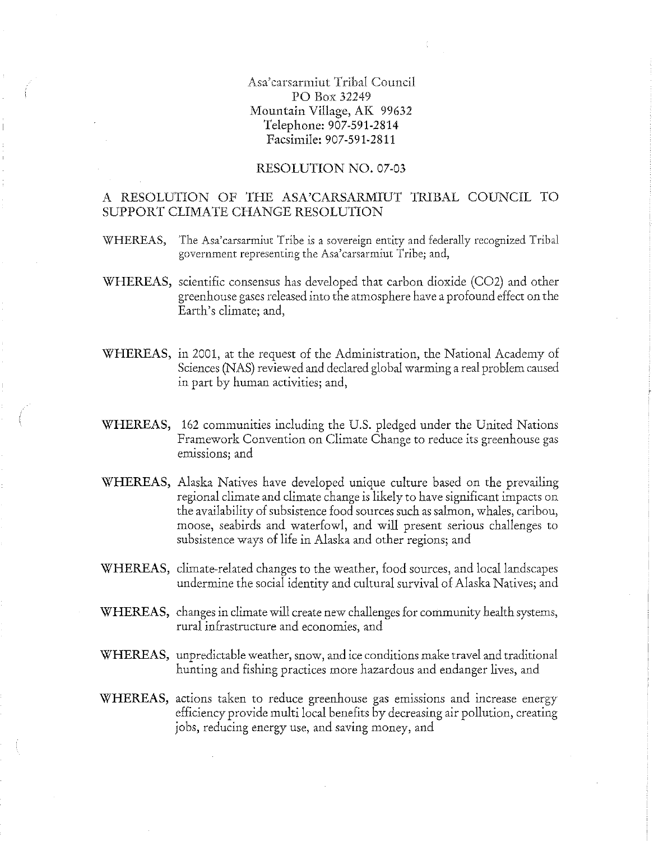Asa'carsarmiut Tribal Council PO Box 32249 Mountain Village, AK 99632 Telephone: 907-591·2814 Facsimile: 907-591-2811

#### RESOLUTION NO. 07-03

# A RESOLUTION OF THE ASA'CARSARMIUT TRlBAL COUNCIL TO SUPPORT CLIMATE CHANGE RESOLUTION

- WHEREAS, The Asa'carsarmiut Tribe is a sovereign entity and federally recognized Tribal government representing the Asa'carsarmiut Tribe; and,
- WHEREAS, scientific consensus has developed that carbon dioxide (C02) and other greenhouse gases released into the atmosphere have a profound effect on the Earth's climate; and,
- WHEREAS, in 2001, at the request of the Administration, the National Academy of Sciences (NAS) reviewed and declared global warming a real problem caused in part by human activities; and,
- WHEREAS, 162 communities including the U.S. pledged under the United Nations Framework Convention on Climate Change to reduce its greenhouse gas emissions; and
- WHEREAS, Alaska Natives have developed unique culture based on the prevailing regional climate and climate change islikely to have significant impacts on the availability of subsistence food sources such assalmon, whales, caribou, moose, seabirds and waterfowl, and will present serious challenges to subsistence ways of life in Alaska and other regions; and
- WHEREAS, climate-related changes to the weather, food sources, and local landscapes undermine the social identity and cultural survival of Alaska Natives; and
- WHEREAS, changes in climate will create new challenges for community health systems, rural infrastructure and economies, and
- WHEREAS, unpredictable weather, snow, and ice conditions make travel and traditional hunting and fishing practices more hazardous and endanger lives, and
- WHEREAS, actions taken to reduce greenhouse gas emissions and increase energy efficiency provide multi local benefits by decreasing air pollution, creating jobs, reducing energy use, and saving money, and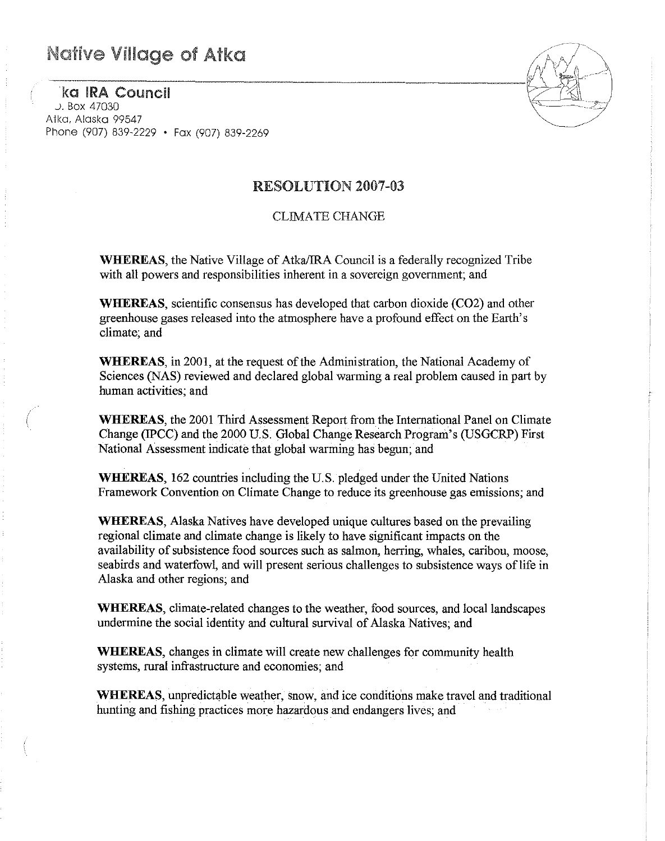# **Native Village of Atka**

KO IRA Council *J,* Box 47030 Atko. Alaska 99547 Phone (907) 839-2229 • Fax (907) 839-2269



# RESOLUTION 2007-03

# CLIMATE CHANGE

WHEREAS, the Native Village of AtkaJIRA Council is a federally recognized Tribe with all powers and responsibilities inherent in a sovereign government; and

WHEREAS, scientific consensus has developed that carbon dioxide (C02) and other greenhouse gases released into the atmosphere have a profound effect on the Earth's climate; and

WHEREAS, in 2001, at the request of the Administration, the National Academy of Sciences (NAS) reviewed and declared global warming a real problem caused in part by human activities; and

**WHEREAS,** the 2001 Third Assessment Report from the International Panel on Climate Change (!pCC) and the 2000 U.S, Global Change Research Program's (USGCRP) First National Assessment indicate that global warming has begun; and

WHEREAS, 162 countries including the U.S, pledged under the United Nations Framework Convention on Climate Change to reduce its greenhouse gas emissions; and

WHEREAS, Alaska Natives have developed unique cultures based on the prevailing regional climate and climate change is likely to have significant impacts on the availability of subsistence food sources such as salmon, herring, whales, caribou, moose, seabirds and waterfowl, and will present serious challenges to subsistence ways of life in Alaska and other regions; and

**WHEREAS,** climate-related changes to the weather, food sources, and local landscapes undermine the social identity and cultural survival of Alaska Natives; and

WHEREAS, changes in climate will create new challenges for community health systems, rural infrastructure and economies; and

WHEREAS, unpredictable weather, snow, and ice conditions make travel and traditional hunting and fishing practices more hazardous and endangers lives; and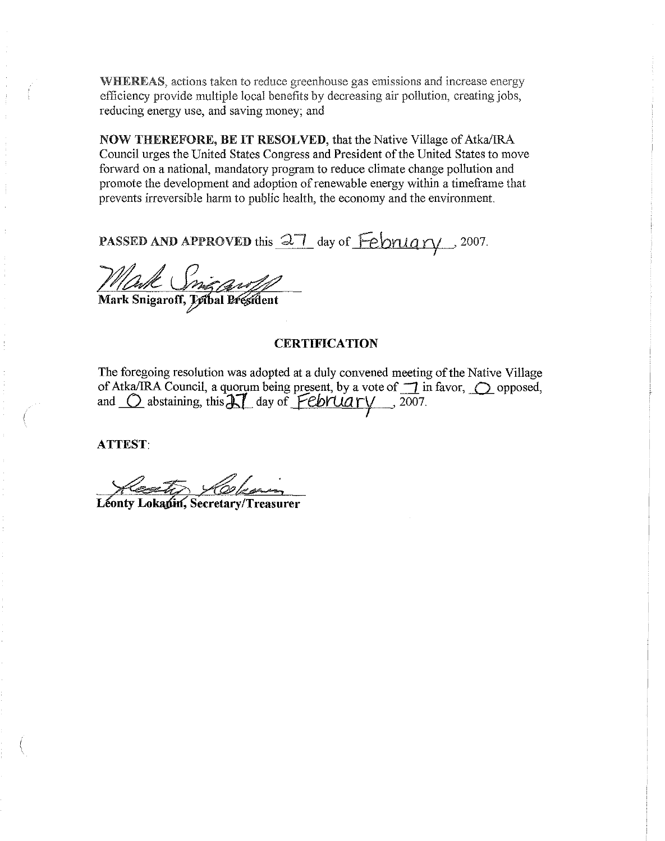WHEREAS, actions taken to reduce greenhouse gas emissions and increase energy efficiency provide multiple local benefits by decreasing air pollution, creating jobs, reducing energy use, and saving money; and

NOW THEREFORE, BE IT RESOLVED, that the Native Village of Atka/IRA Council urges the United States Congress and President of the United States to move forward on a national, mandatory program to reduce climate change pollution and promote the development and adoption of renewable energy within a timeframe that prevents irreversible harm to public health, the economy and the environment.

PASSED AND APPROVED this <u>27</u> day of February 2007.

*Mark Snigart* 

# **CERTIFICATION**

The foregoing resolution was adopted at a duly convened meeting of the Native Village of Atka/IRA Council, a quorum being present, by a vote of  $\overline{\phantom{a}}$  in favor,  $\overline{\phantom{a}}$  opposed, and <u>O</u> abstaining, this  $AT$  day of *February* , 2007.

ATTEST:

Kesto Kokenin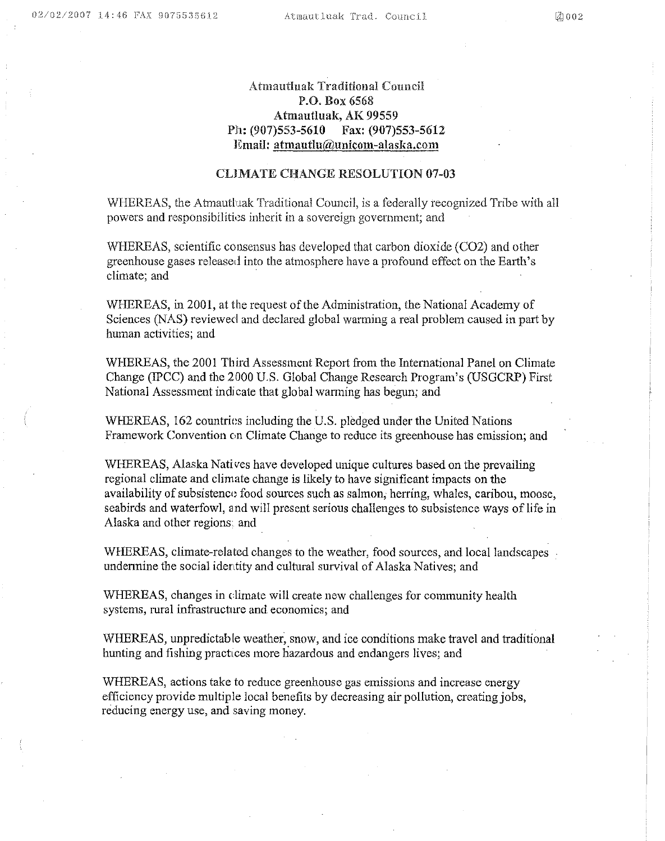# Atmautluak Traditional Council P.O. Box 6568 Atmautluak, AK 99559 Ph: (907)553-5610 Fax: (907)553-5612 Email: atmautlu@unicom-alaska.com

## CLIMATE CHANGE RESOLUTION 07-03

WHEREAS, the Atmautluak Traditional Council, is a federally recognized Tribe with all powers and responsibilities inherit in a sovereign government; and

WHEREAS, scientific consensus has developed that carbon dioxide (C02) and other greenhouse gases released into the atmosphere have a profound effect on the Earth's climate; and

WHEREAS, in 2001, at the request of the Administration, the National Academy of Sciences (NAS) reviewed and declared global warming a real problem caused in part by human activities; and

WHEREAS, the 2001 Third Assessment Report from the International Panel on Climate Change (IPCC) and the 2000 U.S. Global Change Research Program's (USGCRP) First National Assessment indicate that global warming has begun; and

WHEREAS, 162 countries including the U.S. pledged under the United Nations Framework Convention on Climate Change to reduce its greenhouse has emission; and

WHEREAS, Alaska Nati ves have developed unique cultures based on the prevailing regional climate and climate change is likely to have significant impacts on the availability of subsistence food sources such as salmon, herring, whales, caribou, moose, seabirds and waterfowl, and will present serious challenges to subsistence ways of life in Alaska and other regions. and

WHEREAS, climate-related changes to the weather, food sources, and local landscapes. undermine the social identity and cultural survival of Alaska Natives; and

WHEREAS, changes in climate will create new challenges for community health systems, rural infrastructure and economics; and

WHEREAS, unpredictable weather, snow, and ice conditions make travel and traditional hunting and fishing practices more hazardous and endangers lives; and

WHEREAS, actions take to reduce greenhouse gas emissions and increase energy efficiency provide multiple local benefits by decreasing air pollution, creating jobs, reducing energy use, and saving money.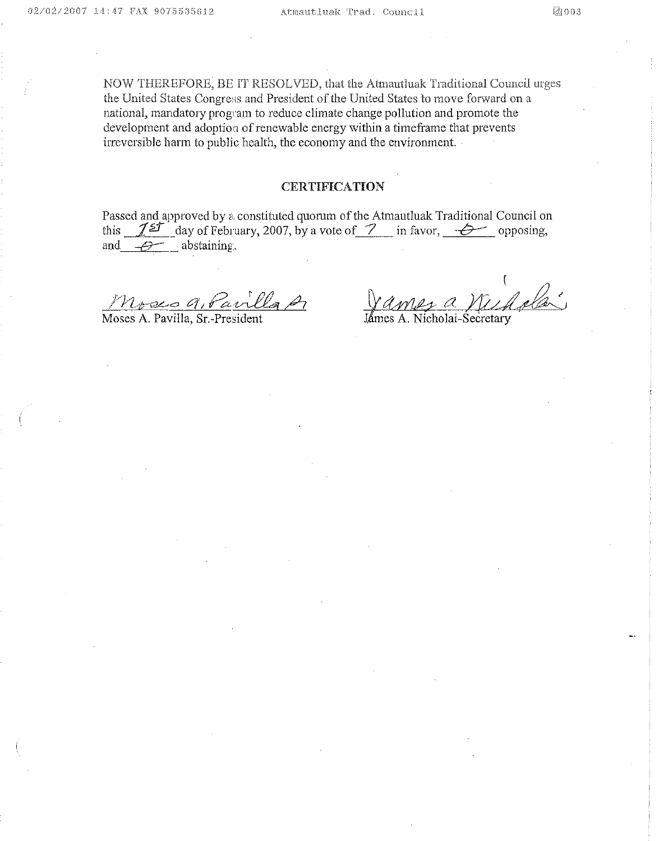NOW THEREFORE, BE IT RESOLVED, that the Atmautluak Traditional Council urges the United States Congress and President of the United States to move forward on a national, mandatory program to reduce climate change pollution and promote the development and adoption of renewable energy within a timeframe that prevents irreversible harm to public health, the economy and the environment

# **CERTIFICATION**

Passed and approved by a constituted quorum of the Atmautluak Traditional Council on this  $12^{5}$  day of February, 2007, by a vote of  $\frac{7}{7}$  in favor,  $\frac{6}{7}$  opposing, and  $\mathcal{D}$  abstaining.

Moses 9, Pavilla p

Moses A. PaviIla, Sr-President

2 a Villa<br>cholai-Secretary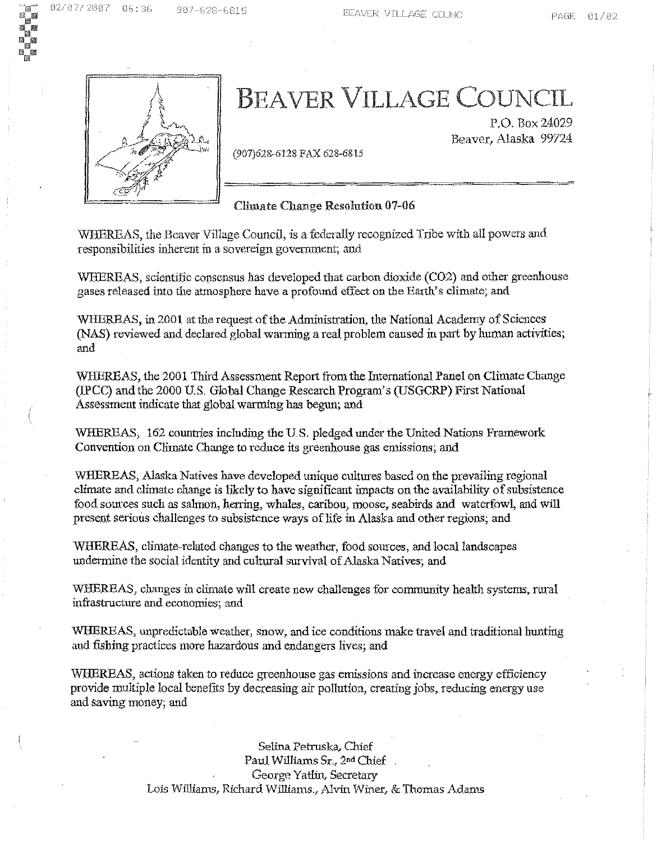

# BEAVER VILLAGE COUNCIL

(907)628-6128 FAX 628-6815

P.O. Box 24029 Beaver, Alaska 99724

Climate Change Resolution 07-06

WEBREAS, the Beaver Village Council, is a federally recognized Tribe with all powers and. responsibilities inherent in a sovereign government; and

WHEREAS, scientific consensus has developed that carbon dioxide (C02) and other greenhouse gases released into the atmosphere have a profound effect on. the Earth's climate; and

WHEREAS, in 2001 at the request of the Administration, the National Academy of Sciences (NAS) reviewed and declared global warming a real problem caused in part by human activities; and

WHEREAS, the 2001 Third Assessment Report from the International Panel on Climate Change (IPCC) and the 2000 U.S. Global Change Research Program's (USGCRP) First National Assessment indicate that global warming has begun; and

WHEREAS, 162 countries including the U.S. pledged under the United Nations Framework Convention on Climate Change to reduce its greenhouse gas emissions; and

WHEREAS, Alaska Natives have developed unique cultures based on the prevailing regional climate and climate change is likely to have significant impacts on the availability of subsistence food sources such as salmon, herring, whales, caribou, moose, seabirds and waterfowl, and will present serious challenges to subsistence ways oflife in Alaska and other regions; and

WHEREAS, climate-related changes to the weather, food sources, and local landscapes undermine the social identity and cultural survival of Alaska Natives; and

WHEREAS, changes in climate wiU create new challenges for community health systems, rural infrastructure and economies; and

WBEREAS, unpredictable weather, snow, and ice conditions make travel and traditional hunting and fishing practices more hazardous and endangers lives; and

WHEREAS, actions taken to reduce greenhouse gas emissions and increase energy efficiency provide multiple local benefits by decreasing air pollution, creating jobs, reducing energy use and saving money; and

> Selina Petruska, Chief Paul Williams Sr., 2nd Chief George Yatlm, Secretary Lois Williams, Richard Williams., Alvin Winer, & Thomas Adams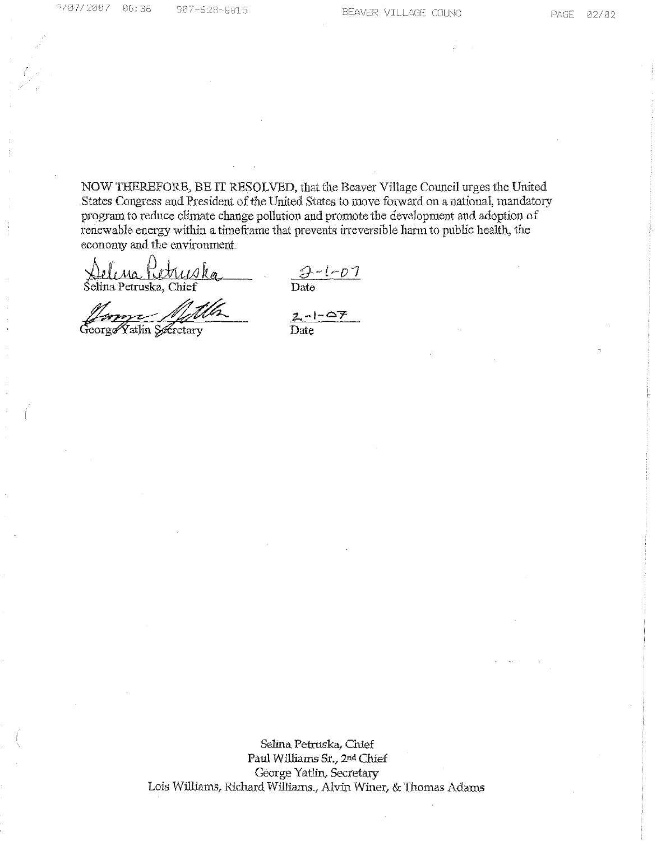NOW THEREFORE, BE IT RESOLVED, that the Beaver Village Council urges the United States Congress and President of the United States to move forward on a national, mandatory program to reduce climate change pollution and promote the development and adoption of renewable energy within a timeframe that prevents irreversible harm to public health, the economy and the environment.

otruska Selina Petruska, Chief

 $\frac{\partial - l - D}{\partial \Omega}$ 

George Yatlin Secretary

 $\frac{2-1-07}{\text{Date}}$ 

Selina Petruska, Chief Paul Williams Sr., 2nd Chief George Yatlin, Secretary Lois Williams, Richard Williams., Alvin Winer, & Thomas Adams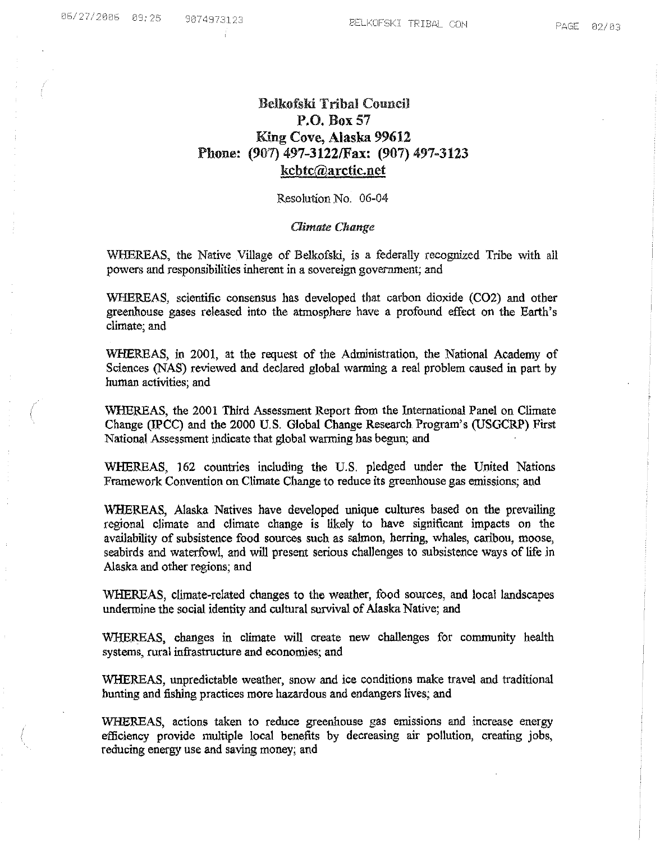# Belkofski Tribal Council P.O. Box 57 King Cove, Alaska 99612 Phone: (907) 497-3122IFax: (907) 497-3123 kcbtc@arctic.net

Resolution No. 06-04

#### **Climate Change**

WHEREAS, the Native Village of Belkofski, is a federally recognized Tribe with all powers and responsibilities inherent in a sovereign government; and

WHEREAS, scientific consensus has developed that carbon dioxide (C02) and other greenhouse gases released into the atmosphere have a profound effect on the Earth's climate; and

WHEREAS, in 2001, at the request of the Administration, the National Academy of Sciences (NAS) reviewed and declared global warming a real problem caused in part by human activities; and

WHEREAS, the 2001 Third Assessment Report from the International Panel on Climate Change *(WCC)* and the 2000 U.S. Global Change Research Program's (USGCRP) First National Assessment indicate that global warming has begun; and

WHEREAS, 162 countries including the U.S. pledged under the United Nations Framework Convention on Climate Change to reduce its greenhouse gas emissions; and

WHEREAS, Alaska Natives have developed unique cultures based on the prevailing regional climate and climate change is likely to have significant impacts on the availability of subsistence food sources such as salmon, herring, whales, caribou, moose, seabirds and waterfowl, and will present serious challenges to subsistence ways of life in Alaska and other regions; and

WHEREAS, climate-related changes to the weather, food sources, and local landscapes undermine the social identity and cultural survival of Alaska Native; and

WHEREAS, changes in climate will create new challenges for community health systems, rural infrastructure and economies; and

WHEREAS, unpredictable weather, snow and ice conditions make travel and traditional hunting and fishing practices more hazardous and endangers lives; and

WHEREAS, actions taken to reduce greenhouse gas emissions and increase energy efficiency provide multiple local benefits by decreasing air pollution, creating jobs, reducing energy use and saving money; and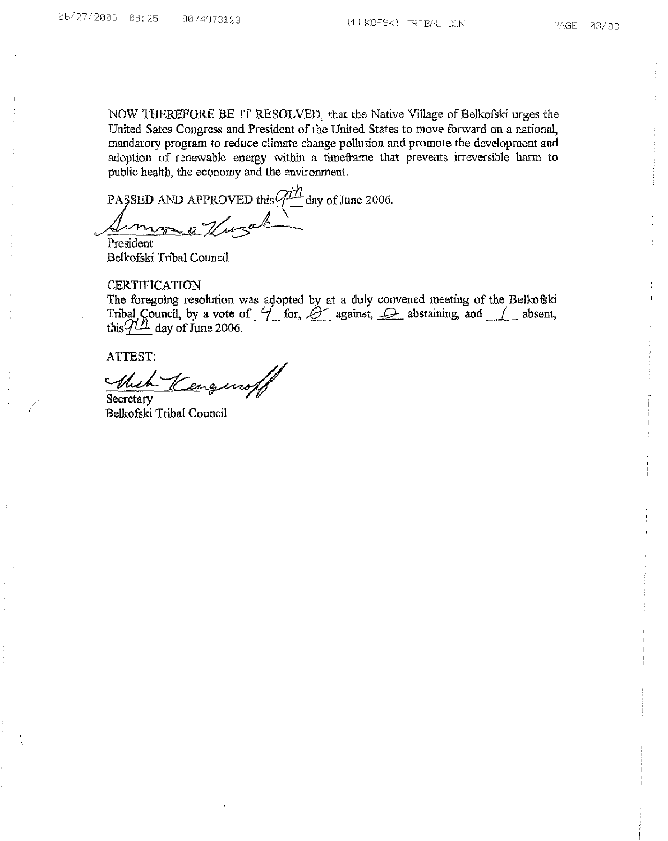NOW THEREFORE BE IT RESOLVED, that the Native Village of Belkofski urges the United Sates Congress and President of the United States to move forward on a national, mandatory program to reduce climate change pollution and promote the development and adoption of renewable energy within a timeframe that prevents irreversible harm to public health, the economy and the environment.

PASSED AND APPROVED this  $\frac{qH_1}{\sqrt{q}}$  day of June 2006.

President Belkofski Tribal Council

## **CERTIFICATION**

The foregoing resolution was adopted by at a duly convened meeting of the Belkofski<br>Tribal Council, by a vote of  $\frac{U}{I}$  for,  $\frac{U}{I}$  against,  $\frac{U}{I}$  abstaining, and  $\frac{U}{I}$  absent, this  $\frac{U}{I}$  day of June 200

ATTEST:

Mich Secretary

Belkofski Tribal Council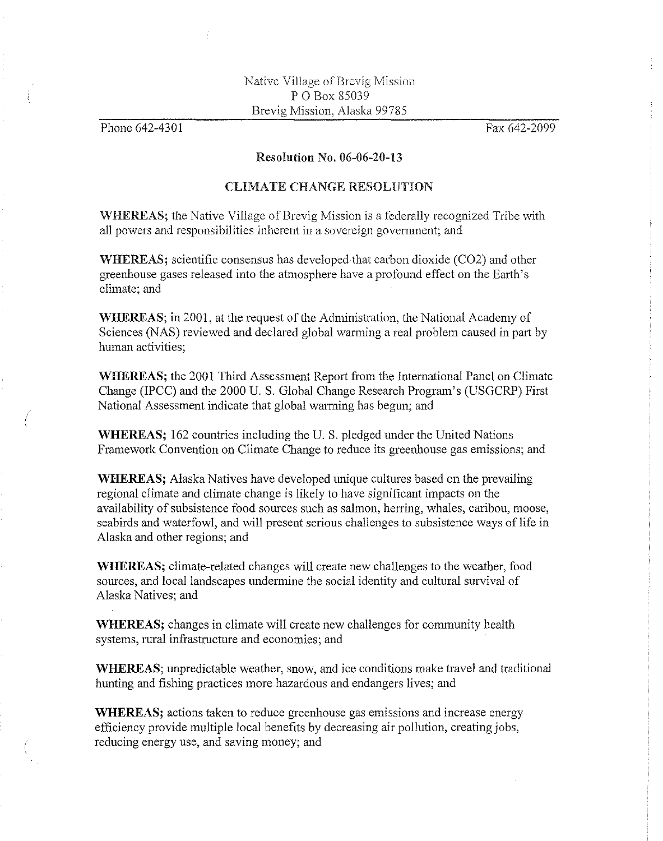Phone 642-4301

Fax 642-2099

## Resolution No. 06-06-20-13

# CLIMATE CHANGE RESOLUTION

WHEREAS; the Native Village of Brevig Mission is a federally recognized Tribe with all powers and responsibilities inherent in a sovereign government; and

WHEREAS; scientific consensus has developed that carbon dioxide (C02) and other greenhouse gases released into the atmosphere have a profound effect on the Earth's climate; and

WHEREAS; in 2001, at the request of the Administration, the National Academy of Sciences (NAS) reviewed and declared global warming a real problem caused in part by human activities;

WHEREAS; the 2001 Third Assessment Report from the International Panel on Climate Change (IPCC) and the 2000 U. S. Global Change Research Program's (USGCRP) First National Assessment indicate that global warming has begun; and

WHEREAS; 162 countries including the U. S. pledged under the United Nations Framework Convention on Climate Change to reduce its greenhouse gas emissions; and

WHEREAS; Alaska Natives have developed unique cultures based on the prevailing regional climate and climate change is likely to have significant impacts on the availability of subsistence food sources such as salmon, herring, whales, caribou, moose, seabirds and waterfowl, and will present serious challenges to subsistence ways of life in Alaska and other regions; and

WHEREAS; climate-related changes will create new challenges to the weather, food sources, and local landscapes undermine the social identity and cultural survival of Alaska Natives; and

WHEREAS; changes in climate will create new challenges for community health systems, rural infrastructure and economies; and

WHEREAS; unpredictable weather, snow, and ice conditions make travel and traditional hunting and fishing practices more hazardous and endangers lives; and

WHEREAS; actions taken to reduce greenhouse gas emissions and increase energy efficiency provide multiple local benefits by decreasing air pollution, creating jobs, reducing energy use, and saving money; and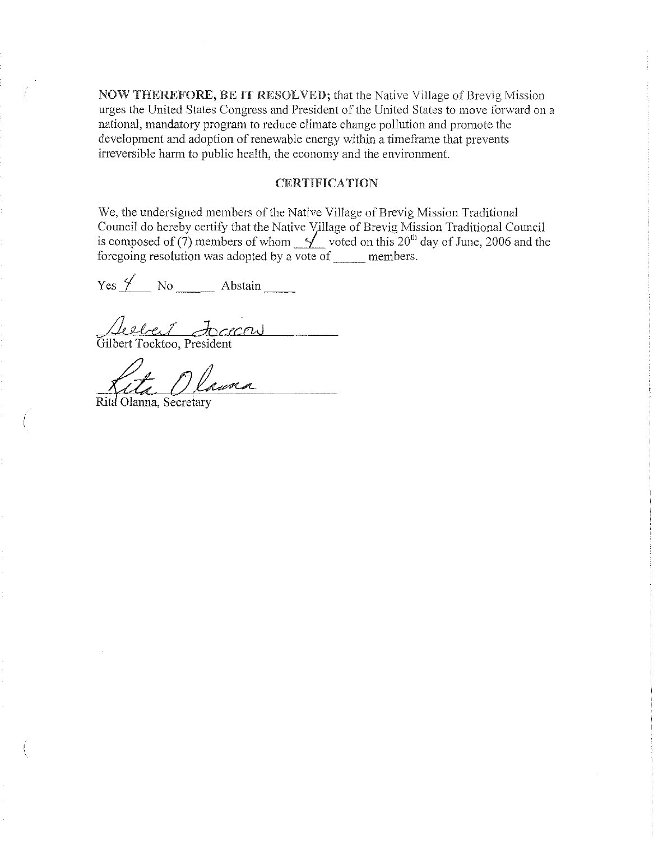NOW THEREFORE, BE IT RESOLVED; that the Native Village of Brevig Mission urges the United States Congress and President of the United States to move forward on a national, mandatory program to reduce climate change pollution and promote the development and adoption of renewable energy within a timeframe that prevents irreversible harm to public health, the economy and the environment.

# CERTIFICATION

We, the undersigned members of the Native Village of Brevig Mission Traditional Council do hereby certify that the Native Village of Brevig Mission Traditional Council is composed of (7) members of whom  $\frac{9}{20}$  voted on this 20<sup>th</sup> day of June, 2006 and the foregoing resolution was adopted by a vote of \_\_\_\_ members.

 $Yes \nleq$  No  $\_\_\_\$  Abstain  $\_\_\_\_\$ 

Aubrey Accessor

Kita Olawna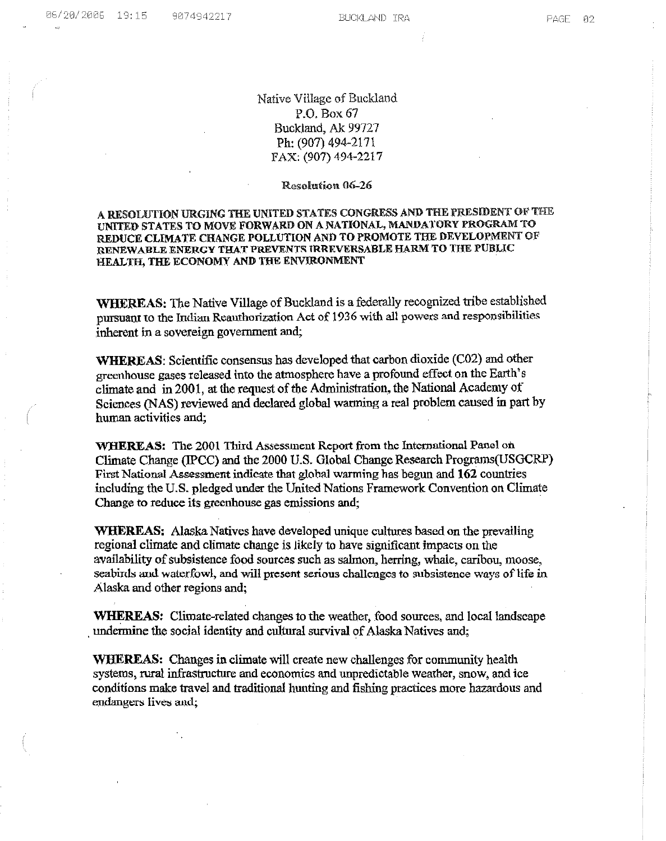# Native Village of Buckland P.O, Box 67 Buckland, Ak 99727 Ph: (907) 494-2171 FAX: (907) 494-2217

#### Resolution 06-26

#### A RESOLUTION URGING THE UNITED STATES CONGRESS AND THE PRESIDENT OF THE UNITED STATES TO MOVE FORWARD ON A NATIONAL, MANDATORY PROGRAM TO REDUCE CLIMATE CHANGE POLLUTION AND TO PROMOTE THE DEVELOPMENT OF RENEWABLE ENERGY THAT PREVENTS IRRRVERSABLE HARM TO THE PUBLIC HEALTH, THE ECONOMY AND THE ENVIRONMENT

WHEREAS: The Native Village of Buckland is a federally recognized tribe established pursuant to the Indian Reauthorization Act of 1936 with all powers and responsibilities inherent in a sovereign government and;

WHEREAS: Scientific consensus has developed that carbon dioxide (C02) and other greenhouse gases released into the atmosphere have a profound effect on the Earth's climate and in 2001, at the request of the Administration, the National Academy of Sciences (NAS) reviewed and declared global warming a real problem caused in part by human activities and;

WHEREAS: The 2001 Third Assessment Report from the International Panel on Climate Change (IPCC) and the 2000 U.S. Global Change Research Programs(USGCRP) Pirst National Assessment indicate that global warming has begun and 162 countries including the U,S. pledged under the United Nations Framework Convention on Climate Change to reduce its greenhouse gas emissions and; .

WHEREAS: Alaska Natives have developed unique cultures based on the prevailing regional climate and climate change is likely to have significant impacts on the availability of subsistence food sources such as salmon, herring, whale, caribou, moose, seabirds and waterfowl, and will present serious challenges to subsistence ways of life in Alaska and other regions and;

WHEREAS: Climate-related changes to the weather, food sources, and local landscape undermine the social identity and cultural survival of Alaska Natives and;

WHEREAS: Changes in climate will create new challenges for community health systems, rural infrastructure and economics and unpredictable weather, snow, and ice conditions make travel and traditional hunting and fishing practices more hazardous and endangers Iives and;